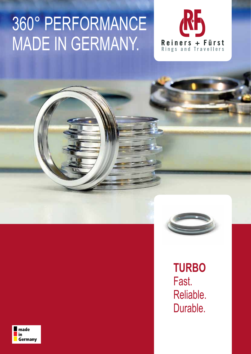# 360° PERFORMANCE MADE IN GERMANY.





**TURBO**  Fast. Reliable. Durable.